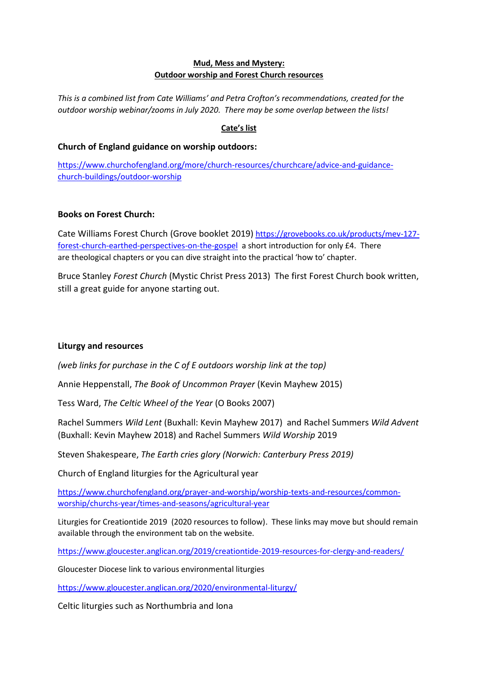### **Mud, Mess and Mystery: Outdoor worship and Forest Church resources**

*This is a combined list from Cate Williams' and Petra Crofton's recommendations, created for the outdoor worship webinar/zooms in July 2020. There may be some overlap between the lists!*

# **Cate's list**

## **Church of England guidance on worship outdoors:**

[https://www.churchofengland.org/more/church-resources/churchcare/advice-and-guidance](https://www.churchofengland.org/more/church-resources/churchcare/advice-and-guidance-church-buildings/outdoor-worship)[church-buildings/outdoor-worship](https://www.churchofengland.org/more/church-resources/churchcare/advice-and-guidance-church-buildings/outdoor-worship)

## **Books on Forest Church:**

Cate Williams Forest Church (Grove booklet 2019) [https://grovebooks.co.uk/products/mev-127](https://grovebooks.co.uk/products/mev-127-forest-church-earthed-perspectives-on-the-gospel) [forest-church-earthed-perspectives-on-the-gospel](https://grovebooks.co.uk/products/mev-127-forest-church-earthed-perspectives-on-the-gospel) a short introduction for only £4.  There are theological chapters or you can dive straight into the practical 'how to' chapter.

Bruce Stanley *Forest Church* (Mystic Christ Press 2013) The first Forest Church book written, still a great guide for anyone starting out.

# **Liturgy and resources**

*(web links for purchase in the C of E outdoors worship link at the top)*

Annie Heppenstall, *The Book of Uncommon Prayer* (Kevin Mayhew 2015)

Tess Ward, *The Celtic Wheel of the Year* (O Books 2007)

Rachel Summers *Wild Lent* (Buxhall: Kevin Mayhew 2017) and Rachel Summers *Wild Advent* (Buxhall: Kevin Mayhew 2018) and Rachel Summers *Wild Worship* 2019

Steven Shakespeare, *The Earth cries glory (Norwich: Canterbury Press 2019)*

Church of England liturgies for the Agricultural year

[https://www.churchofengland.org/prayer-and-worship/worship-texts-and-resources/common](https://www.churchofengland.org/prayer-and-worship/worship-texts-and-resources/common-worship/churchs-year/times-and-seasons/agricultural-year)[worship/churchs-year/times-and-seasons/agricultural-year](https://www.churchofengland.org/prayer-and-worship/worship-texts-and-resources/common-worship/churchs-year/times-and-seasons/agricultural-year)

Liturgies for Creationtide 2019 (2020 resources to follow). These links may move but should remain available through the environment tab on the website.

<https://www.gloucester.anglican.org/2019/creationtide-2019-resources-for-clergy-and-readers/>

Gloucester Diocese link to various environmental liturgies

<https://www.gloucester.anglican.org/2020/environmental-liturgy/>

Celtic liturgies such as Northumbria and Iona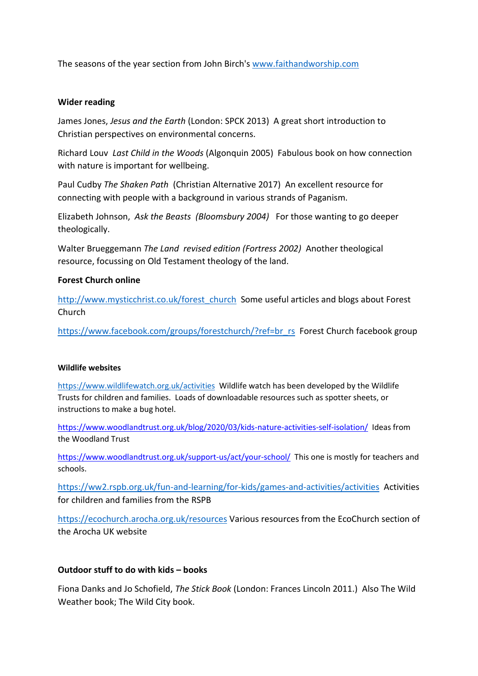The seasons of the year section from John Birch's [www.faithandworship.com](http://www.faithandworship.com/)

### **Wider reading**

James Jones, *Jesus and the Earth* (London: SPCK 2013) A great short introduction to Christian perspectives on environmental concerns.

Richard Louv *Last Child in the Woods* (Algonquin 2005) Fabulous book on how connection with nature is important for wellbeing.

Paul Cudby *The Shaken Path* (Christian Alternative 2017) An excellent resource for connecting with people with a background in various strands of Paganism.

Elizabeth Johnson, *Ask the Beasts (Bloomsbury 2004)* For those wanting to go deeper theologically.

Walter Brueggemann *The Land revised edition (Fortress 2002)* Another theological resource, focussing on Old Testament theology of the land.

### **Forest Church online**

[http://www.mysticchrist.co.uk/forest\\_church](http://www.mysticchrist.co.uk/forest_church) Some useful articles and blogs about Forest Church

[https://www.facebook.com/groups/forestchurch/?ref=br\\_rs](https://www.facebook.com/groups/forestchurch/?ref=br_rs) Forest Church facebook group

### **Wildlife websites**

<https://www.wildlifewatch.org.uk/activities>Wildlife watch has been developed by the Wildlife Trusts for children and families. Loads of downloadable resources such as spotter sheets, or instructions to make a bug hotel.

<https://www.woodlandtrust.org.uk/blog/2020/03/kids-nature-activities-self-isolation/>Ideas from the Woodland Trust

<https://www.woodlandtrust.org.uk/support-us/act/your-school/>This one is mostly for teachers and schools.

<https://ww2.rspb.org.uk/fun-and-learning/for-kids/games-and-activities/activities>Activities for children and families from the RSPB

<https://ecochurch.arocha.org.uk/resources> Various resources from the EcoChurch section of the Arocha UK website

### **Outdoor stuff to do with kids – books**

Fiona Danks and Jo Schofield, *The Stick Book* (London: Frances Lincoln 2011.) Also The Wild Weather book; The Wild City book.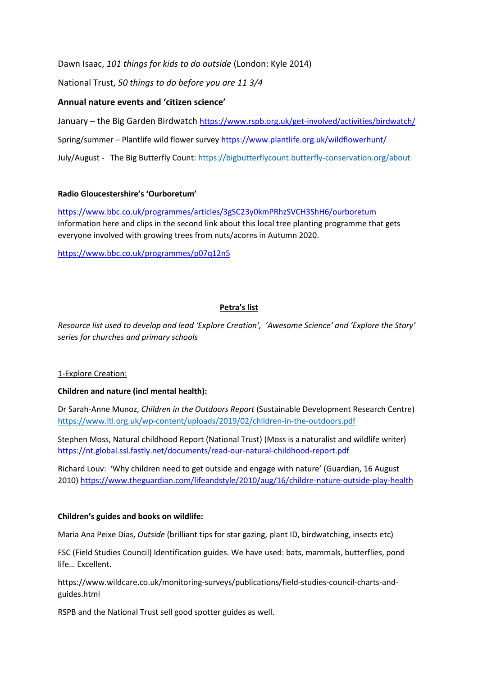Dawn Isaac, *101 things for kids to do outside* (London: Kyle 2014)

National Trust, *50 things to do before you are 11 3/4*

## **Annual nature events and 'citizen science'**

January – the Big Garden Birdwatch <https://www.rspb.org.uk/get-involved/activities/birdwatch/> Spring/summer – Plantlife wild flower surve[y https://www.plantlife.org.uk/wildflowerhunt/](https://www.plantlife.org.uk/wildflowerhunt/) July/August - The Big Butterfly Count:<https://bigbutterflycount.butterfly-conservation.org/about>

### **Radio Gloucestershire's 'Ourboretum'**

<https://www.bbc.co.uk/programmes/articles/3gSC23y0kmPRhzSVCH3ShH6/ourboretum> Information here and clips in the second link about this local tree planting programme that gets everyone involved with growing trees from nuts/acorns in Autumn 2020.

<https://www.bbc.co.uk/programmes/p07q12n5>

# **Petra's list**

*Resource list used to develop and lead 'Explore Creation', 'Awesome Science' and 'Explore the Story' series for churches and primary schools*

### 1-Explore Creation:

### **Children and nature (incl mental health):**

Dr Sarah-Anne Munoz, *Children in the Outdoors Report* (Sustainable Development Research Centre) <https://www.ltl.org.uk/wp-content/uploads/2019/02/children-in-the-outdoors.pdf>

Stephen Moss, Natural childhood Report (National Trust) (Moss is a naturalist and wildlife writer) <https://nt.global.ssl.fastly.net/documents/read-our-natural-childhood-report.pdf>

Richard Louv: 'Why children need to get outside and engage with nature' (Guardian, 16 August 2010) <https://www.theguardian.com/lifeandstyle/2010/aug/16/childre-nature-outside-play-health>

#### **Children's guides and books on wildlife:**

Maria Ana Peixe Dias, *Outside* (brilliant tips for star gazing, plant ID, birdwatching, insects etc)

FSC (Field Studies Council) Identification guides. We have used: bats, mammals, butterflies, pond life… Excellent.

https://www.wildcare.co.uk/monitoring-surveys/publications/field-studies-council-charts-andguides.html

RSPB and the National Trust sell good spotter guides as well.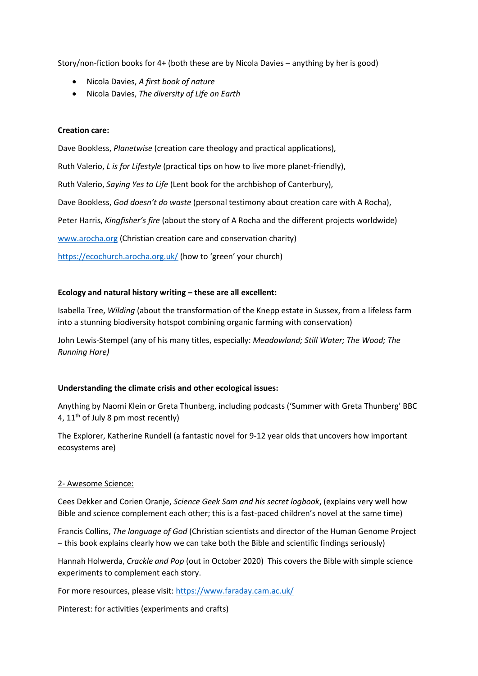Story/non-fiction books for 4+ (both these are by Nicola Davies – anything by her is good)

- Nicola Davies, *A first book of nature*
- Nicola Davies, *The diversity of Life on Earth*

#### **Creation care:**

Dave Bookless, *Planetwise* (creation care theology and practical applications), Ruth Valerio, *L is for Lifestyle* (practical tips on how to live more planet-friendly), Ruth Valerio, *Saying Yes to Life* (Lent book for the archbishop of Canterbury), Dave Bookless, *God doesn't do waste* (personal testimony about creation care with A Rocha), Peter Harris, *Kingfisher's fire* (about the story of A Rocha and the different projects worldwide) [www.arocha.org](http://www.arocha.org/) (Christian creation care and conservation charity) <https://ecochurch.arocha.org.uk/> (how to 'green' your church)

#### **Ecology and natural history writing – these are all excellent:**

Isabella Tree, *Wilding* (about the transformation of the Knepp estate in Sussex, from a lifeless farm into a stunning biodiversity hotspot combining organic farming with conservation)

John Lewis-Stempel (any of his many titles, especially: *Meadowland; Still Water; The Wood; The Running Hare)*

#### **Understanding the climate crisis and other ecological issues:**

Anything by Naomi Klein or Greta Thunberg, including podcasts ('Summer with Greta Thunberg' BBC 4,  $11<sup>th</sup>$  of July 8 pm most recently)

The Explorer, Katherine Rundell (a fantastic novel for 9-12 year olds that uncovers how important ecosystems are)

#### 2- Awesome Science:

Cees Dekker and Corien Oranje, *Science Geek Sam and his secret logbook*, (explains very well how Bible and science complement each other; this is a fast-paced children's novel at the same time)

Francis Collins, *The language of God* (Christian scientists and director of the Human Genome Project – this book explains clearly how we can take both the Bible and scientific findings seriously)

Hannah Holwerda, *Crackle and Pop* (out in October 2020) This covers the Bible with simple science experiments to complement each story.

For more resources, please visit:<https://www.faraday.cam.ac.uk/>

Pinterest: for activities (experiments and crafts)